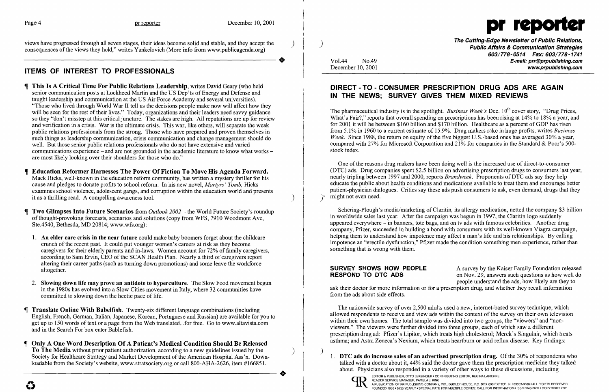

views have progressed through all seven stages, their ideas become solid and stable, and they accept the consequences of the views they hold," writes Yankelovich (More info from www.publicagenda.org) consequences of the views they hold," writes Yankelovich (More info from www.publicagenda.org) .

- This Is A Critical Time For Public Relations Leadership, writes David Geary (who held senior communication posts at Lockheed Martin and the US Dep'ts of Energy and Defense and taught leadership and communication at the US Air Force Academy and several universities). "Those who lived through World War II tell us the decisions people make now will affect how they will be seen for the rest of their lives." Today, organizations and their leaders need savvy guidance so they "don't misstep at this critical juncture. The stakes are high. All reputations are up for review and verification in a crisis. War is the ultimate crisis. This war, like others, will separate the weak public relations professionals from the strong. Those who have prepared and proven themselves in such things as leadership communication, crisis communication and change management should do well. But those senior public relations professionals who do not have extensive and varied communications experience – and are not grounded in the academic literature to know what works – are most likely looking over their shoulders for those who do."
- Education Reformer Harnesses The Power Of Fiction To Move His Agenda Forward. Mack Hicks, well-known in the education reform community, has written a mystery thriller for his cause and pledges to donate profits to school reform. In his new novel, *Martyrs' Tomb,* Hicks examines school violence, adolescent gangs, and corruption within the education world and presents it as a thrilling read. A compelling awareness tool.
- **Two Glimpses Into Future Scenarios** from *Outlook 2002* the World Future Society's roundup of thought-provoking forecasts, scenarios and solutions (copy from WFS, 7910 Woodmont Ave, Ste.4540, Bethesda, MD 20814; www.wfs.org):
	- 1. An elder care crisis in the near future could make baby boomers forget about the childcare crunch of the recent past. It could put younger women's careers at risk as they become caregivers for their elderly parents and in-laws. Women account for 72% of family caregivers, according to Sam Ervin, CEO of the SCAN Health Plan. Nearly a third of caregivers report altering their career paths (such as turning down promotions) and some leave the workforce altogether.
- 2. Slowing down life may prove an antidote to hyperculture. The Slow Food movement begun in the 1980s has evolved into a Slow Cities movement in Italy, where 32 communities have committed to slowing down the hectic pace of life.
- Translate Online With Babelfish. Twenty-six different language combinations (including English, French, German, Italian, Japanese, Korean, Portuguese and Russian) are available for you to get up to 150 words of text or a page from the Web translated...for free. Go to www.altavista.com and in the Search For box enter Bablefish.
- Only A One Word Description Of A Patient's Medical Condition Should Be Released To The Media without prior patient authorization, according to a new guidelines issued by the ) Society for Healthcare Strategy and Market Development of the American Hospital Ass'n. Downloadable from the Society's website, www.stratsociety.org or call 800-AHA-2626, item #166851. Focuse Home the Society S website, www.stratsociety.org of call 600-A11A-2020, item #100651.

# ITEMS OF INTEREST TO PROFESSIONALS

The Cutting-Edge Newsletter of Public Relations, ) Public Affairs & Communication Strategies *603/778-0514 Fax: 603/778-1741*  Vol.44 No.49 **No.49** No.49 **E-mail: prr@prpublishing.com**<br>December 10, 2001 www.prpublishing.com

The pharmaceutical industry is in the spotlight. *Business Week's* Dec. 10<sup>th</sup> cover story, "Drug Prices, What's Fair?," reports that overall spending on prescriptions has been rising at 14% to 18% a year, and for 2001 it will be between \$160 billion and \$170 billion. Healthcare as a percent of GDP has risen from 5.1% in 1960 to a current estimate of 15.9%. Drug makers rake in huge profits, writes *Business Week.* Since 1988, the return on equity of the five biggest U.S.-based ones has averaged 30% a year, compared with 27% for Microsoft Corporation and 21% for companies in the Standard & Poor's 500 stock index.

One of the reasons drug makers have been doing well is the increased use of direct-to-consumer (DTC) ads. Drug companies spent \$2.5 billion on advertising prescription drugs to consumers last year, nearly tripling between 1997 and 2000, reports *Brandweek.* Proponents of DTC ads say they help educate the public about health conditions and medications available to treat them and encourage better patient-physician dialogues. Critics say these ads push consumers to ask, even demand, drugs that they might not even need.

Schering-Plough's media/marketing of Claritin, its allergy medication, netted the company \$3 billion in worldwide sales last year. After the campaign was begun in 1997, the Claritin logo suddenly appeared everywhere - in banners, tote bags, and on tv ads with famous celebrities. Another drug company, Pfizer, succeeded in building a bond with consumers with its well-known Viagra campaign, helping them to understand how impotence may affect a man's life and his relationships. By calling impotence an "erectile dysfunction," Pfizer made the condition something men experience, rather than something that is wrong with them.

**SURVEY SHOWS HOW PEOPLE** A survey by the Kaiser Family Foundation released<br> **RESPOND TO DTC ADS** on Nov. 29, answers such questions as how well do on Nov. 29, answers such questions as how well do people understand the ads, how likely are they to ask their doctor for more information or for a prescription drug, and whether they recall information from the ads about side effects.

## DIRECT· TO • CONSUMER PRESCRIPTION DRUG ADS ARE AGAIN IN THE NEWS; SURVEY GIVES THEM MIXED REVIEWS

The nationwide survey of over 2,500 adults used a new, internet-based survey technique, which allowed respondents to receive and view ads within the context of the survey on their own television within their own homes. The total sample was divided into two groups, the "viewers" and "nonviewers." The viewers were further divided into three groups, each of which saw a different prescription drugad: Pfizer'sLipitor, which treats high cholesterol; Merck's Singulair, which treats asthma; and Astra Zeneca's Nexium, which treats heartburn or acid reflux disease. Key findings:

) 1. DTC ads do increase sales of an advertised prescription drug. Of the 30% of respondents who talked with a doctor about it, 44% said the doctor gave them the prescription medicine they talked about. Physicians also responded in a variety of other ways to these discussions, including



EDITOR & PUBLISHER, OTTO LERBINGER • CONTRIBUTING EDITOR, REGINA LAPIERRE<br>READER SERVICE MANAGER, PAMELA J. KING A PUBLICATION OF PR PUBLISHING COMPANY, INC., DUDLEY HOUSE, P.O. BOX 600 EXETER, NH 03833-0600 . ALL RIGHTS RESERVED FOUNDED 1958 . \$225 YEARLY . SPECIAL RATE FOR MULTIPLE COPIES: CALL FOR INFORMATION . ISSN 0048-2609 . COPYRIGHT 2001